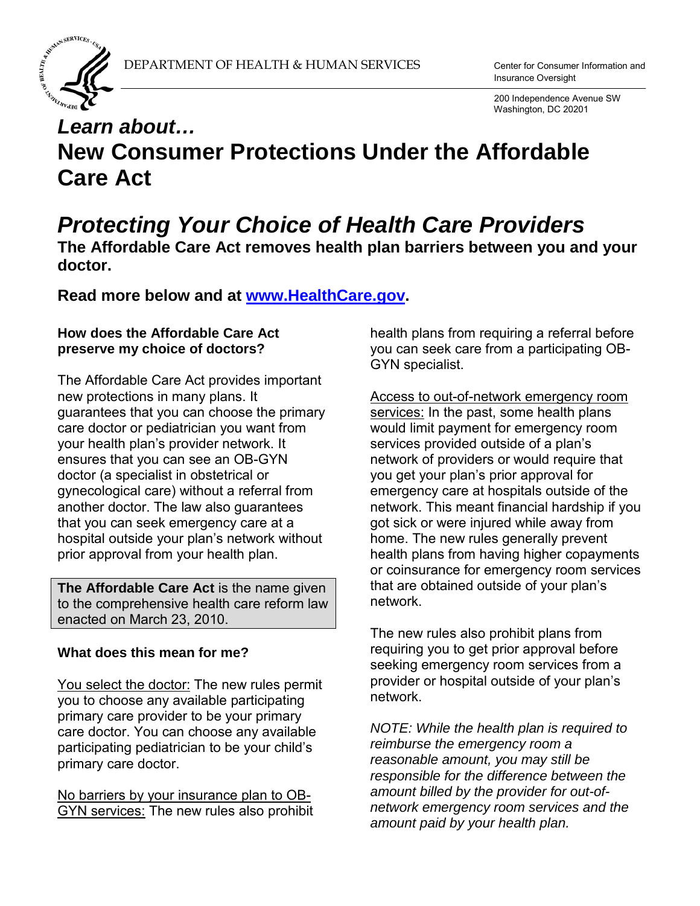

Insurance Oversight

 200 Independence Avenue SW Washington, DC 20201

# *Learn about…*  **New Consumer Protections Under the Affordable Care Act**

# *Protecting Your Choice of Health Care Providers*

**The Affordable Care Act removes health plan barriers between you and your doctor.** 

# **Read more below and at [www.HealthCare.gov.](http://www.healthcare.gov/)**

### **How does the Affordable Care Act preserve my choice of doctors?**

The Affordable Care Act provides important new protections in many plans. It guarantees that you can choose the primary care doctor or pediatrician you want from your health plan's provider network. It ensures that you can see an OB-GYN doctor (a specialist in obstetrical or gynecological care) without a referral from another doctor. The law also guarantees that you can seek emergency care at a hospital outside your plan's network without prior approval from your health plan.

**The Affordable Care Act** is the name given to the comprehensive health care reform law enacted on March 23, 2010.

# **What does this mean for me?**

You select the doctor: The new rules permit you to choose any available participating primary care provider to be your primary care doctor. You can choose any available participating pediatrician to be your child's primary care doctor.

No barriers by your insurance plan to OB-GYN services: The new rules also prohibit health plans from requiring a referral before you can seek care from a participating OB-GYN specialist.

Access to out-of-network emergency room services: In the past, some health plans would limit payment for emergency room services provided outside of a plan's network of providers or would require that you get your plan's prior approval for emergency care at hospitals outside of the network. This meant financial hardship if you got sick or were injured while away from home. The new rules generally prevent health plans from having higher copayments or coinsurance for emergency room services that are obtained outside of your plan's network.

The new rules also prohibit plans from requiring you to get prior approval before seeking emergency room services from a provider or hospital outside of your plan's network.

*NOTE: While the health plan is required to reimburse the emergency room a reasonable amount, you may still be responsible for the difference between the amount billed by the provider for out-ofnetwork emergency room services and the amount paid by your health plan.*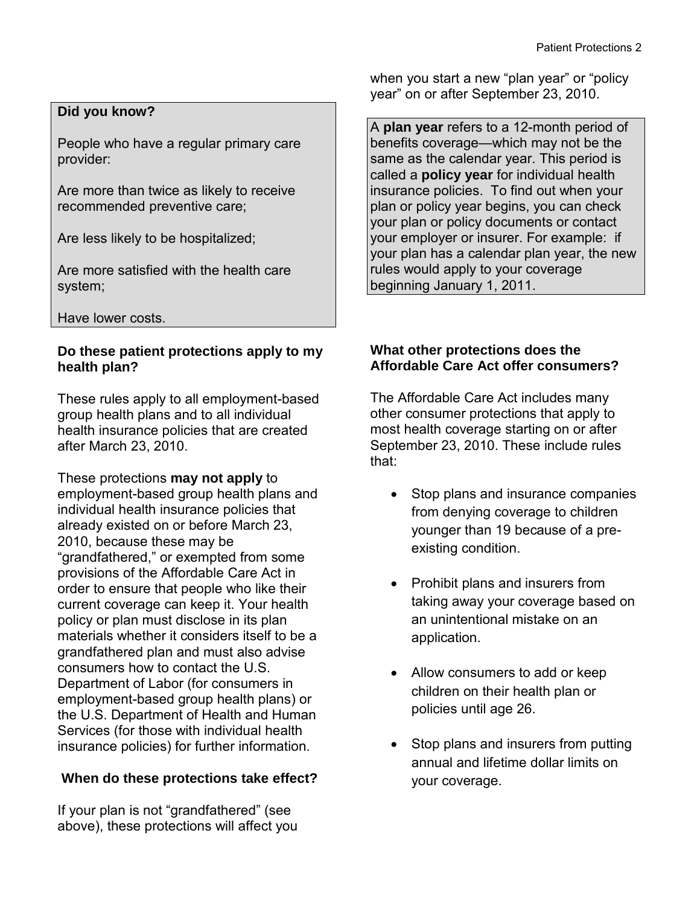### **Did you know?**

People who have a regular primary care provider:

Are more than twice as likely to receive recommended preventive care;

Are less likely to be hospitalized;

Are more satisfied with the health care system;

Have lower costs.

### **Do these patient protections apply to my health plan?**

These rules apply to all employment-based group health plans and to all individual health insurance policies that are created after March 23, 2010.

These protections **may not apply** to employment-based group health plans and individual health insurance policies that already existed on or before March 23, 2010, because these may be "grandfathered," or exempted from some provisions of the Affordable Care Act in order to ensure that people who like their current coverage can keep it. Your health policy or plan must disclose in its plan materials whether it considers itself to be a grandfathered plan and must also advise consumers how to contact the U.S. Department of Labor (for consumers in employment-based group health plans) or the U.S. Department of Health and Human Services (for those with individual health insurance policies) for further information.

# **When do these protections take effect?**

If your plan is not "grandfathered" (see above), these protections will affect you when you start a new "plan year" or "policy year" on or after September 23, 2010.

A **plan year** refers to a 12-month period of benefits coverage—which may not be the same as the calendar year. This period is called a **policy year** for individual health insurance policies. To find out when your plan or policy year begins, you can check your plan or policy documents or contact your employer or insurer. For example: if your plan has a calendar plan year, the new rules would apply to your coverage beginning January 1, 2011.

### **What other protections does the Affordable Care Act offer consumers?**

The Affordable Care Act includes many other consumer protections that apply to most health coverage starting on or after September 23, 2010. These include rules that:

- Stop plans and insurance companies from denying coverage to children younger than 19 because of a preexisting condition.
- Prohibit plans and insurers from taking away your coverage based on an unintentional mistake on an application.
- Allow consumers to add or keep children on their health plan or policies until age 26.
- Stop plans and insurers from putting annual and lifetime dollar limits on your coverage.